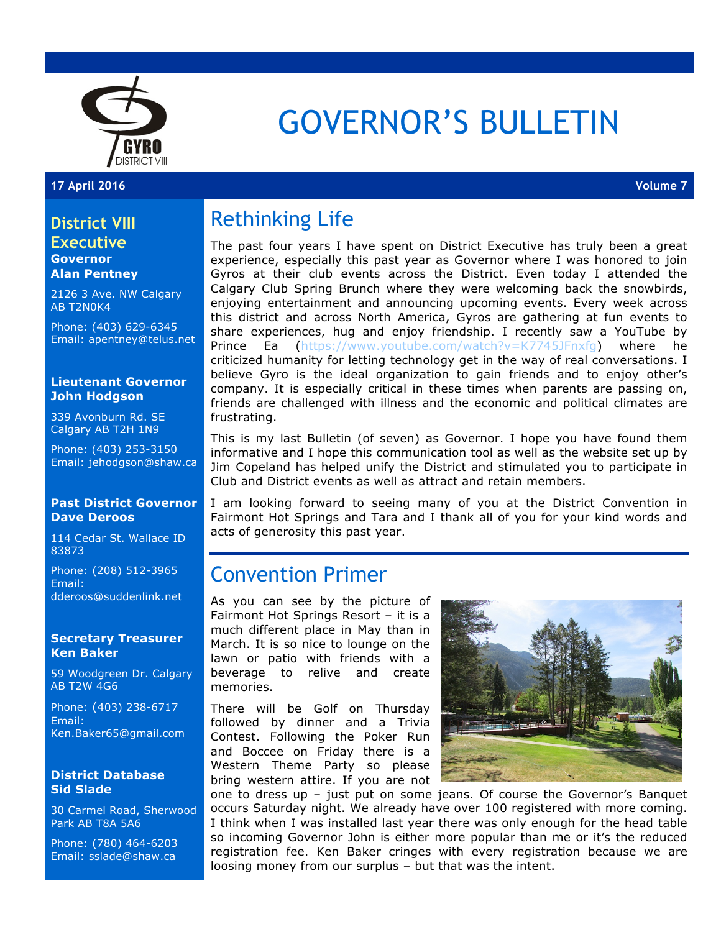

# GOVERNOR'S BULLETIN

#### **17 April 2016 Volume 7**

### **District VIII Executive Governor**

**Alan Pentney**

2126 3 Ave. NW Calgary AB T2N0K4

Phone: (403) 629-6345 Email: apentney@telus.net

#### **Lieutenant Governor John Hodgson**

339 Avonburn Rd. SE Calgary AB T2H 1N9

Phone: (403) 253-3150 Email: jehodgson@shaw.ca

#### **Past District Governor Dave Deroos**

114 Cedar St. Wallace ID 83873

Phone: (208) 512-3965 Email: dderoos@suddenlink.net

#### **Secretary Treasurer Ken Baker**

59 Woodgreen Dr. Calgary AB T2W 4G6

Phone: (403) 238-6717 Email: Ken.Baker65@gmail.com

#### **District Database Sid Slade**

30 Carmel Road, Sherwood Park AB T8A 5A6

Phone: (780) 464-6203 Email: sslade@shaw.ca

## Rethinking Life

The past four years I have spent on District Executive has truly been a great experience, especially this past year as Governor where I was honored to join Gyros at their club events across the District. Even today I attended the Calgary Club Spring Brunch where they were welcoming back the snowbirds, enjoying entertainment and announcing upcoming events. Every week across this district and across North America, Gyros are gathering at fun events to share experiences, hug and enjoy friendship. I recently saw a YouTube by **Prince Ea (https://www.youtube.com/watch?v=K7745JFnxfg) where he** criticized humanity for letting technology get in the way of real conversations. I believe Gyro is the ideal organization to gain friends and to enjoy other's company. It is especially critical in these times when parents are passing on, friends are challenged with illness and the economic and political climates are frustrating.

This is my last Bulletin (of seven) as Governor. I hope you have found them informative and I hope this communication tool as well as the website set up by Jim Copeland has helped unify the District and stimulated you to participate in Club and District events as well as attract and retain members.

I am looking forward to seeing many of you at the District Convention in Fairmont Hot Springs and Tara and I thank all of you for your kind words and acts of generosity this past year.

### Convention Primer

As you can see by the picture of Fairmont Hot Springs Resort – it is a much different place in May than in March. It is so nice to lounge on the lawn or patio with friends with a beverage to relive and create memories.

There will be Golf on Thursday followed by dinner and a Trivia Contest. Following the Poker Run and Boccee on Friday there is a Western Theme Party so please bring western attire. If you are not



one to dress up – just put on some jeans. Of course the Governor's Banquet occurs Saturday night. We already have over 100 registered with more coming. I think when I was installed last year there was only enough for the head table so incoming Governor John is either more popular than me or it's the reduced registration fee. Ken Baker cringes with every registration because we are loosing money from our surplus – but that was the intent.